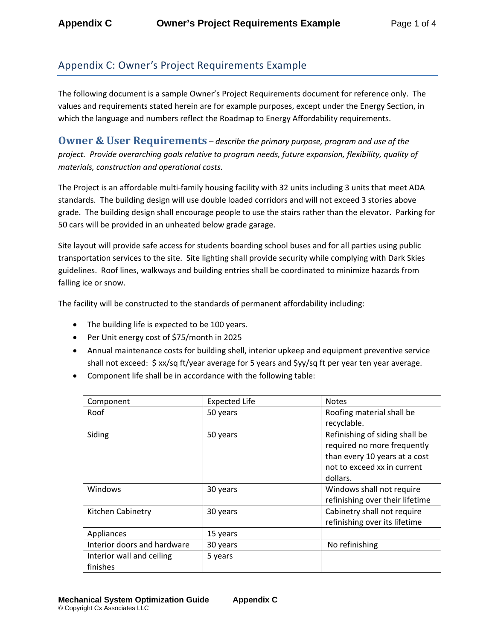## Appendix C: Owner's Project Requirements Example

The following document is a sample Owner's Project Requirements document for reference only. The values and requirements stated herein are for example purposes, except under the Energy Section, in which the language and numbers reflect the Roadmap to Energy Affordability requirements.

**Owner & User Requirements** *– describe the primary purpose, program and use of the project. Provide overarching goals relative to program needs, future expansion, flexibility, quality of materials, construction and operational costs.*

The Project is an affordable multi‐family housing facility with 32 units including 3 units that meet ADA standards. The building design will use double loaded corridors and will not exceed 3 stories above grade. The building design shall encourage people to use the stairs rather than the elevator. Parking for 50 cars will be provided in an unheated below grade garage.

Site layout will provide safe access for students boarding school buses and for all parties using public transportation services to the site. Site lighting shall provide security while complying with Dark Skies guidelines. Roof lines, walkways and building entries shall be coordinated to minimize hazards from falling ice or snow.

The facility will be constructed to the standards of permanent affordability including:

- The building life is expected to be 100 years.
- Per Unit energy cost of \$75/month in 2025
- Annual maintenance costs for building shell, interior upkeep and equipment preventive service shall not exceed:  $\frac{2}{3}$  xx/sq ft/year average for 5 years and  $\frac{2}{3}$ yy/sq ft per year ten year average.
- Component life shall be in accordance with the following table:

| Component                   | <b>Expected Life</b> | <b>Notes</b>                    |
|-----------------------------|----------------------|---------------------------------|
| Roof                        | 50 years             | Roofing material shall be       |
|                             |                      | recyclable.                     |
| Siding                      | 50 years             | Refinishing of siding shall be  |
|                             |                      | required no more frequently     |
|                             |                      | than every 10 years at a cost   |
|                             |                      | not to exceed xx in current     |
|                             |                      | dollars.                        |
| Windows                     | 30 years             | Windows shall not require       |
|                             |                      | refinishing over their lifetime |
| Kitchen Cabinetry           | 30 years             | Cabinetry shall not require     |
|                             |                      | refinishing over its lifetime   |
| Appliances                  | 15 years             |                                 |
| Interior doors and hardware | 30 years             | No refinishing                  |
| Interior wall and ceiling   | 5 years              |                                 |
| finishes                    |                      |                                 |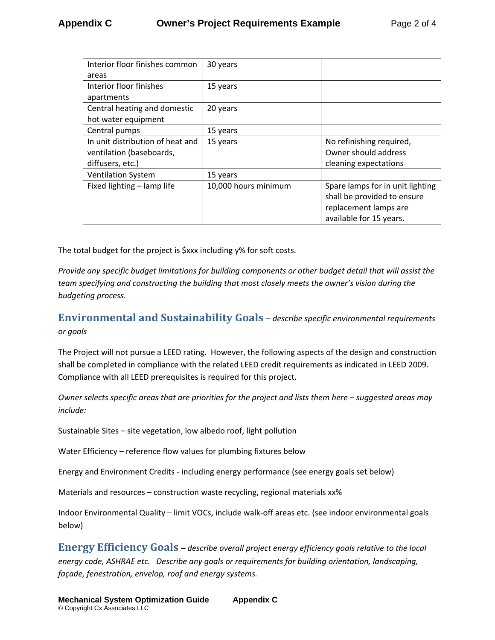| Interior floor finishes common   | 30 years             |                                  |
|----------------------------------|----------------------|----------------------------------|
| areas                            |                      |                                  |
| Interior floor finishes          | 15 years             |                                  |
| apartments                       |                      |                                  |
| Central heating and domestic     | 20 years             |                                  |
| hot water equipment              |                      |                                  |
| Central pumps                    | 15 years             |                                  |
| In unit distribution of heat and | 15 years             | No refinishing required,         |
| ventilation (baseboards,         |                      | Owner should address             |
| diffusers, etc.)                 |                      | cleaning expectations            |
| <b>Ventilation System</b>        | 15 years             |                                  |
| Fixed lighting - lamp life       | 10,000 hours minimum | Spare lamps for in unit lighting |
|                                  |                      | shall be provided to ensure      |
|                                  |                      | replacement lamps are            |
|                                  |                      | available for 15 years.          |

The total budget for the project is \$xxx including y% for soft costs.

*Provide any specific budget limitations for building components or other budget detail that will assist the team specifying and constructing the building that most closely meets the owner's vision during the budgeting process.*

**Environmental and Sustainability Goals** *– describe specific environmental requirements or goals*

The Project will not pursue a LEED rating. However, the following aspects of the design and construction shall be completed in compliance with the related LEED credit requirements as indicated in LEED 2009. Compliance with all LEED prerequisites is required for this project.

Owner selects specific areas that are priorities for the project and lists them here - suggested areas may *include:*

Sustainable Sites – site vegetation, low albedo roof, light pollution

Water Efficiency – reference flow values for plumbing fixtures below

Energy and Environment Credits ‐ including energy performance (see energy goals set below)

Materials and resources – construction waste recycling, regional materials xx%

Indoor Environmental Quality – limit VOCs, include walk‐off areas etc. (see indoor environmental goals below)

**Energy Efficiency Goals** *– describe overall project energy efficiency goals relative to the local energy code, ASHRAE etc. Describe any goals or requirements for building orientation, landscaping, façade, fenestration, envelop, roof and energy systems.*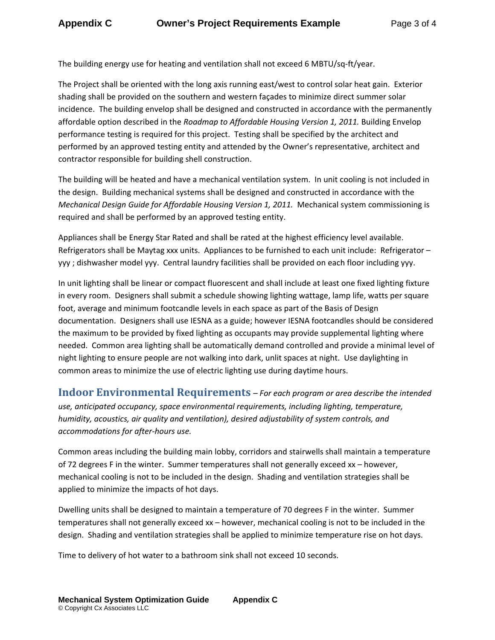The building energy use for heating and ventilation shall not exceed 6 MBTU/sq‐ft/year.

The Project shall be oriented with the long axis running east/west to control solar heat gain. Exterior shading shall be provided on the southern and western façades to minimize direct summer solar incidence. The building envelop shall be designed and constructed in accordance with the permanently affordable option described in the *Roadmap to Affordable Housing Version 1, 2011.* Building Envelop performance testing is required for this project. Testing shall be specified by the architect and performed by an approved testing entity and attended by the Owner's representative, architect and contractor responsible for building shell construction.

The building will be heated and have a mechanical ventilation system. In unit cooling is not included in the design. Building mechanical systems shall be designed and constructed in accordance with the *Mechanical Design Guide for Affordable Housing Version 1, 2011.* Mechanical system commissioning is required and shall be performed by an approved testing entity.

Appliances shall be Energy Star Rated and shall be rated at the highest efficiency level available. Refrigerators shall be Maytag xxx units. Appliances to be furnished to each unit include: Refrigerator – yyy ; dishwasher model yyy. Central laundry facilities shall be provided on each floor including yyy.

In unit lighting shall be linear or compact fluorescent and shall include at least one fixed lighting fixture in every room. Designers shall submit a schedule showing lighting wattage, lamp life, watts per square foot, average and minimum footcandle levels in each space as part of the Basis of Design documentation. Designers shall use IESNA as a guide; however IESNA footcandles should be considered the maximum to be provided by fixed lighting as occupants may provide supplemental lighting where needed. Common area lighting shall be automatically demand controlled and provide a minimal level of night lighting to ensure people are not walking into dark, unlit spaces at night. Use daylighting in common areas to minimize the use of electric lighting use during daytime hours.

**Indoor Environmental Requirements** *– For each program or area describe the intended use, anticipated occupancy, space environmental requirements, including lighting, temperature, humidity, acoustics, air quality and ventilation), desired adjustability of system controls, and accommodations for after‐hours use.*

Common areas including the building main lobby, corridors and stairwells shall maintain a temperature of 72 degrees F in the winter. Summer temperatures shall not generally exceed xx – however, mechanical cooling is not to be included in the design. Shading and ventilation strategies shall be applied to minimize the impacts of hot days.

Dwelling units shall be designed to maintain a temperature of 70 degrees F in the winter. Summer temperatures shall not generally exceed xx – however, mechanical cooling is not to be included in the design. Shading and ventilation strategies shall be applied to minimize temperature rise on hot days.

Time to delivery of hot water to a bathroom sink shall not exceed 10 seconds.